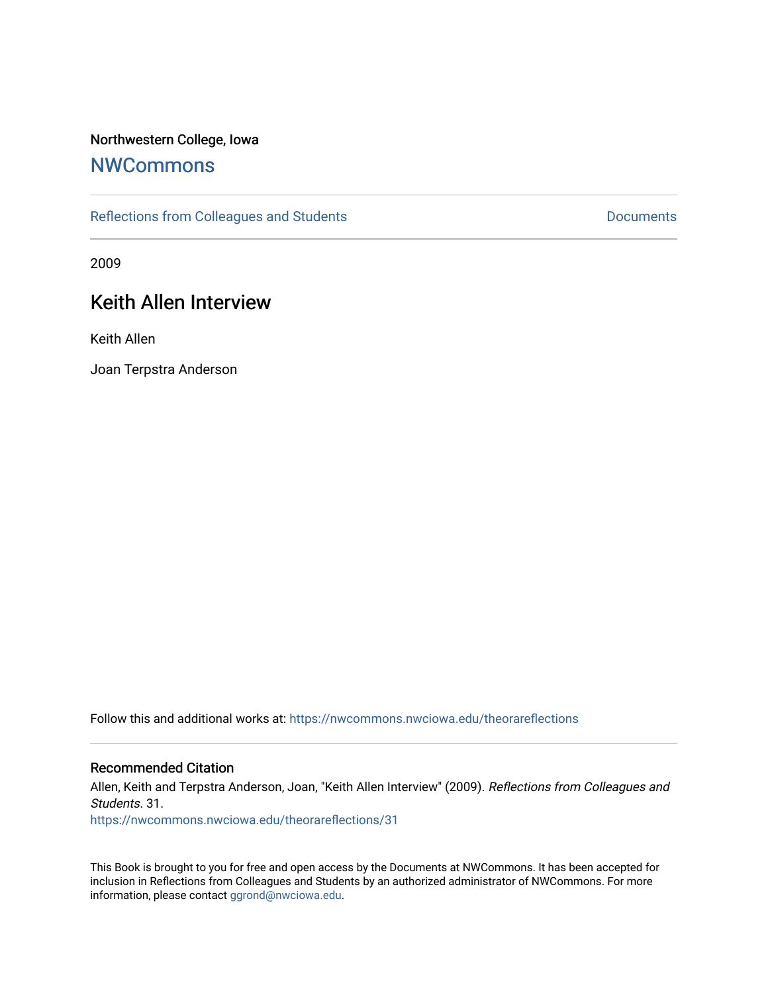### Northwestern College, Iowa

## **[NWCommons](https://nwcommons.nwciowa.edu/)**

[Reflections from Colleagues and Students](https://nwcommons.nwciowa.edu/theorareflections) **Documents** Documents

2009

# Keith Allen Interview

Keith Allen

Joan Terpstra Anderson

Follow this and additional works at: [https://nwcommons.nwciowa.edu/theorareflections](https://nwcommons.nwciowa.edu/theorareflections?utm_source=nwcommons.nwciowa.edu%2Ftheorareflections%2F31&utm_medium=PDF&utm_campaign=PDFCoverPages) 

#### Recommended Citation

Allen, Keith and Terpstra Anderson, Joan, "Keith Allen Interview" (2009). Reflections from Colleagues and Students. 31.

[https://nwcommons.nwciowa.edu/theorareflections/31](https://nwcommons.nwciowa.edu/theorareflections/31?utm_source=nwcommons.nwciowa.edu%2Ftheorareflections%2F31&utm_medium=PDF&utm_campaign=PDFCoverPages) 

This Book is brought to you for free and open access by the Documents at NWCommons. It has been accepted for inclusion in Reflections from Colleagues and Students by an authorized administrator of NWCommons. For more information, please contact [ggrond@nwciowa.edu](mailto:ggrond@nwciowa.edu).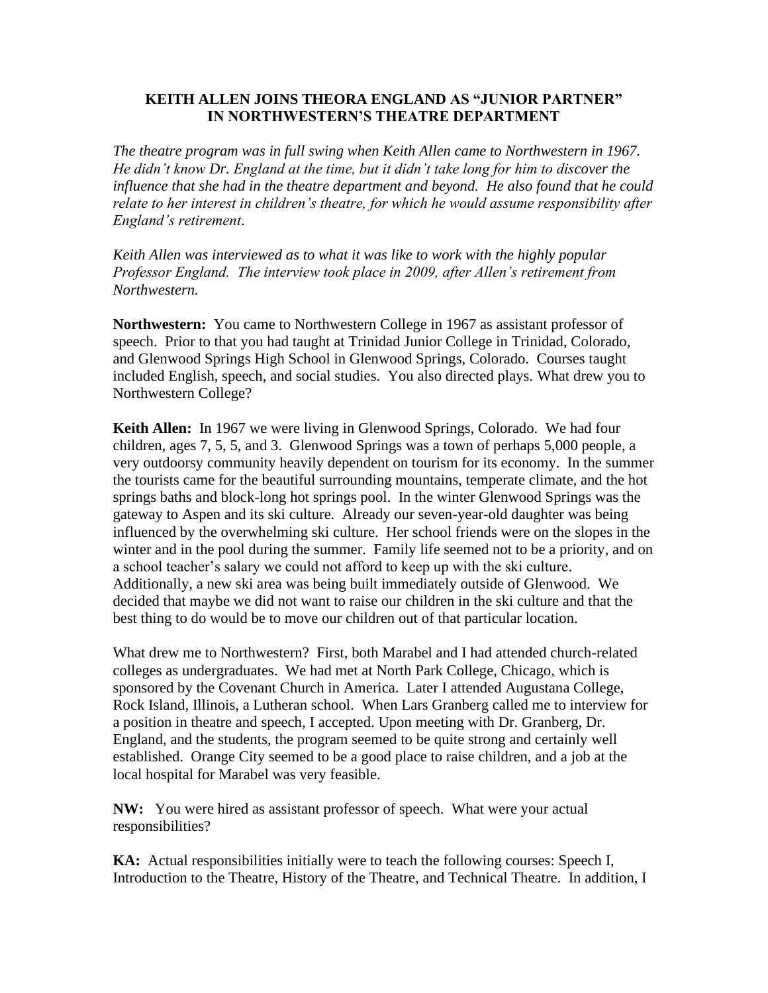## **KEITH ALLEN JOINS THEORA ENGLAND AS "JUNIOR PARTNER" IN NORTHWESTERN'S THEATRE DEPARTMENT**

*The theatre program was in full swing when Keith Allen came to Northwestern in 1967. He didn't know Dr. England at the time, but it didn't take long for him to discover the influence that she had in the theatre department and beyond. He also found that he could relate to her interest in children's theatre, for which he would assume responsibility after England's retirement*.

*Keith Allen was interviewed as to what it was like to work with the highly popular Professor England. The interview took place in 2009, after Allen's retirement from Northwestern.*

**Northwestern:** You came to Northwestern College in 1967 as assistant professor of speech. Prior to that you had taught at Trinidad Junior College in Trinidad, Colorado, and Glenwood Springs High School in Glenwood Springs, Colorado. Courses taught included English, speech, and social studies. You also directed plays. What drew you to Northwestern College?

**Keith Allen:** In 1967 we were living in Glenwood Springs, Colorado. We had four children, ages 7, 5, 5, and 3. Glenwood Springs was a town of perhaps 5,000 people, a very outdoorsy community heavily dependent on tourism for its economy. In the summer the tourists came for the beautiful surrounding mountains, temperate climate, and the hot springs baths and block-long hot springs pool. In the winter Glenwood Springs was the gateway to Aspen and its ski culture. Already our seven-year-old daughter was being influenced by the overwhelming ski culture. Her school friends were on the slopes in the winter and in the pool during the summer. Family life seemed not to be a priority, and on a school teacher's salary we could not afford to keep up with the ski culture. Additionally, a new ski area was being built immediately outside of Glenwood. We decided that maybe we did not want to raise our children in the ski culture and that the best thing to do would be to move our children out of that particular location.

What drew me to Northwestern? First, both Marabel and I had attended church-related colleges as undergraduates. We had met at North Park College, Chicago, which is sponsored by the Covenant Church in America. Later I attended Augustana College, Rock Island, Illinois, a Lutheran school. When Lars Granberg called me to interview for a position in theatre and speech, I accepted. Upon meeting with Dr. Granberg, Dr. England, and the students, the program seemed to be quite strong and certainly well established. Orange City seemed to be a good place to raise children, and a job at the local hospital for Marabel was very feasible.

**NW:** You were hired as assistant professor of speech. What were your actual responsibilities?

**KA:** Actual responsibilities initially were to teach the following courses: Speech I, Introduction to the Theatre, History of the Theatre, and Technical Theatre. In addition, I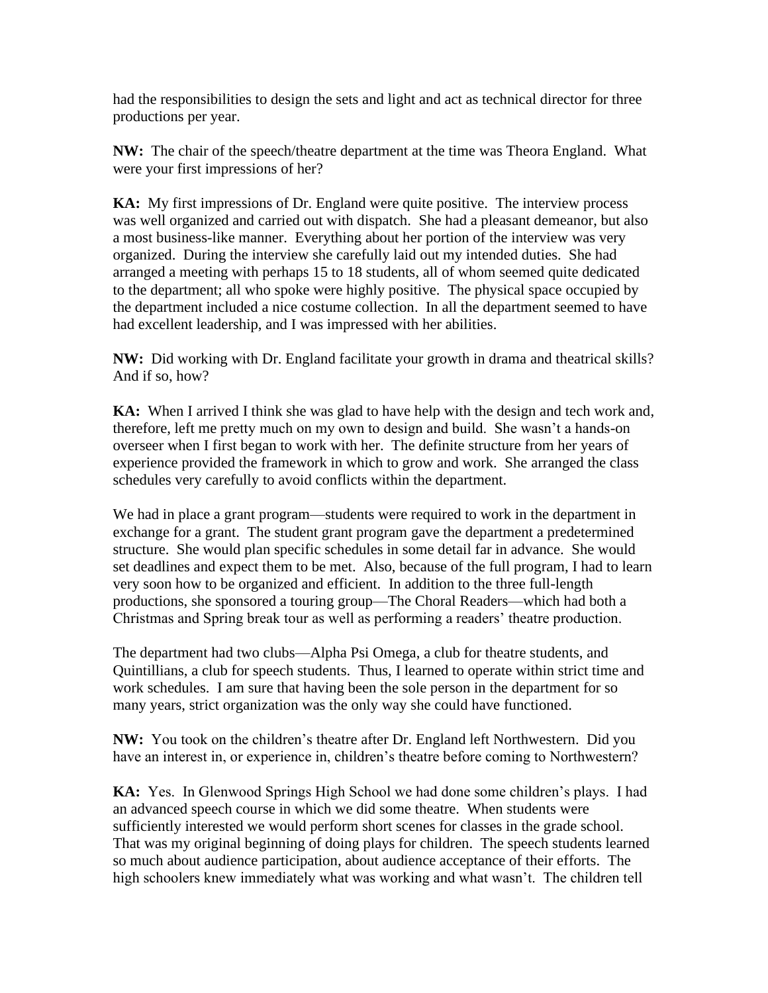had the responsibilities to design the sets and light and act as technical director for three productions per year.

**NW:** The chair of the speech/theatre department at the time was Theora England. What were your first impressions of her?

**KA:** My first impressions of Dr. England were quite positive. The interview process was well organized and carried out with dispatch. She had a pleasant demeanor, but also a most business-like manner. Everything about her portion of the interview was very organized. During the interview she carefully laid out my intended duties. She had arranged a meeting with perhaps 15 to 18 students, all of whom seemed quite dedicated to the department; all who spoke were highly positive. The physical space occupied by the department included a nice costume collection. In all the department seemed to have had excellent leadership, and I was impressed with her abilities.

**NW:** Did working with Dr. England facilitate your growth in drama and theatrical skills? And if so, how?

**KA:** When I arrived I think she was glad to have help with the design and tech work and, therefore, left me pretty much on my own to design and build. She wasn't a hands-on overseer when I first began to work with her. The definite structure from her years of experience provided the framework in which to grow and work. She arranged the class schedules very carefully to avoid conflicts within the department.

We had in place a grant program—students were required to work in the department in exchange for a grant. The student grant program gave the department a predetermined structure. She would plan specific schedules in some detail far in advance. She would set deadlines and expect them to be met. Also, because of the full program, I had to learn very soon how to be organized and efficient. In addition to the three full-length productions, she sponsored a touring group—The Choral Readers—which had both a Christmas and Spring break tour as well as performing a readers' theatre production.

The department had two clubs—Alpha Psi Omega, a club for theatre students, and Quintillians, a club for speech students. Thus, I learned to operate within strict time and work schedules. I am sure that having been the sole person in the department for so many years, strict organization was the only way she could have functioned.

**NW:** You took on the children's theatre after Dr. England left Northwestern. Did you have an interest in, or experience in, children's theatre before coming to Northwestern?

**KA:** Yes. In Glenwood Springs High School we had done some children's plays. I had an advanced speech course in which we did some theatre. When students were sufficiently interested we would perform short scenes for classes in the grade school. That was my original beginning of doing plays for children. The speech students learned so much about audience participation, about audience acceptance of their efforts. The high schoolers knew immediately what was working and what wasn't. The children tell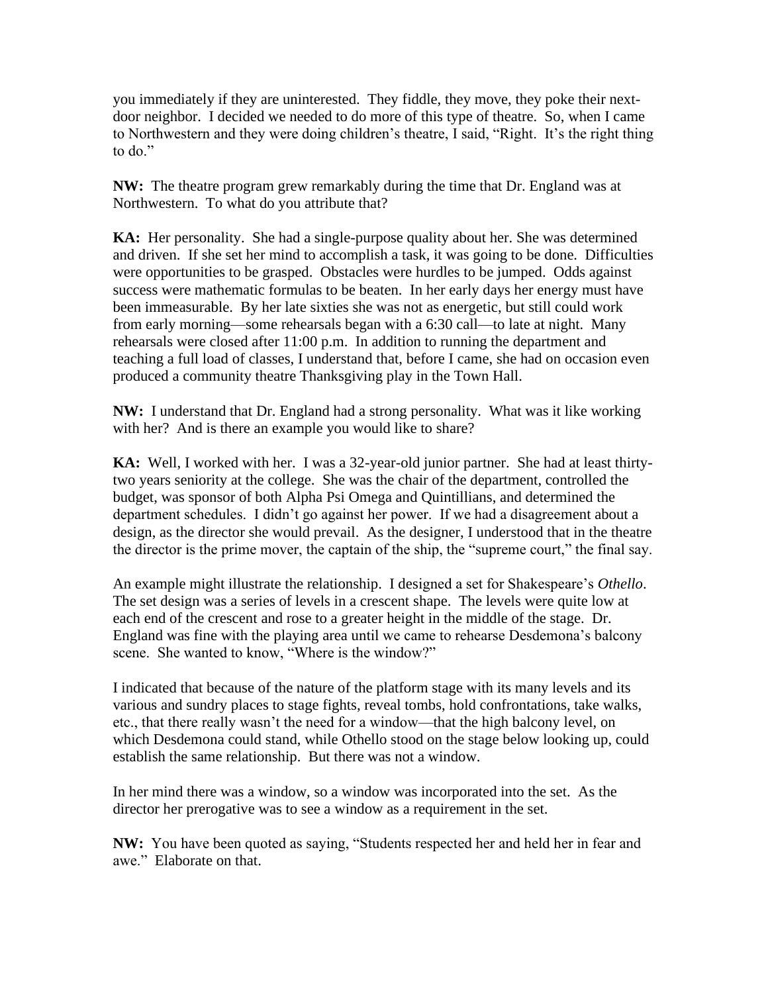you immediately if they are uninterested. They fiddle, they move, they poke their nextdoor neighbor. I decided we needed to do more of this type of theatre. So, when I came to Northwestern and they were doing children's theatre, I said, "Right. It's the right thing to do."

**NW:** The theatre program grew remarkably during the time that Dr. England was at Northwestern. To what do you attribute that?

**KA:** Her personality. She had a single-purpose quality about her. She was determined and driven. If she set her mind to accomplish a task, it was going to be done. Difficulties were opportunities to be grasped. Obstacles were hurdles to be jumped. Odds against success were mathematic formulas to be beaten. In her early days her energy must have been immeasurable. By her late sixties she was not as energetic, but still could work from early morning—some rehearsals began with a 6:30 call—to late at night. Many rehearsals were closed after 11:00 p.m. In addition to running the department and teaching a full load of classes, I understand that, before I came, she had on occasion even produced a community theatre Thanksgiving play in the Town Hall.

**NW:** I understand that Dr. England had a strong personality. What was it like working with her? And is there an example you would like to share?

**KA:** Well, I worked with her. I was a 32-year-old junior partner. She had at least thirtytwo years seniority at the college. She was the chair of the department, controlled the budget, was sponsor of both Alpha Psi Omega and Quintillians, and determined the department schedules. I didn't go against her power. If we had a disagreement about a design, as the director she would prevail. As the designer, I understood that in the theatre the director is the prime mover, the captain of the ship, the "supreme court," the final say.

An example might illustrate the relationship. I designed a set for Shakespeare's *Othello*. The set design was a series of levels in a crescent shape. The levels were quite low at each end of the crescent and rose to a greater height in the middle of the stage. Dr. England was fine with the playing area until we came to rehearse Desdemona's balcony scene. She wanted to know, "Where is the window?"

I indicated that because of the nature of the platform stage with its many levels and its various and sundry places to stage fights, reveal tombs, hold confrontations, take walks, etc., that there really wasn't the need for a window—that the high balcony level, on which Desdemona could stand, while Othello stood on the stage below looking up, could establish the same relationship. But there was not a window.

In her mind there was a window, so a window was incorporated into the set. As the director her prerogative was to see a window as a requirement in the set.

**NW:** You have been quoted as saying, "Students respected her and held her in fear and awe." Elaborate on that.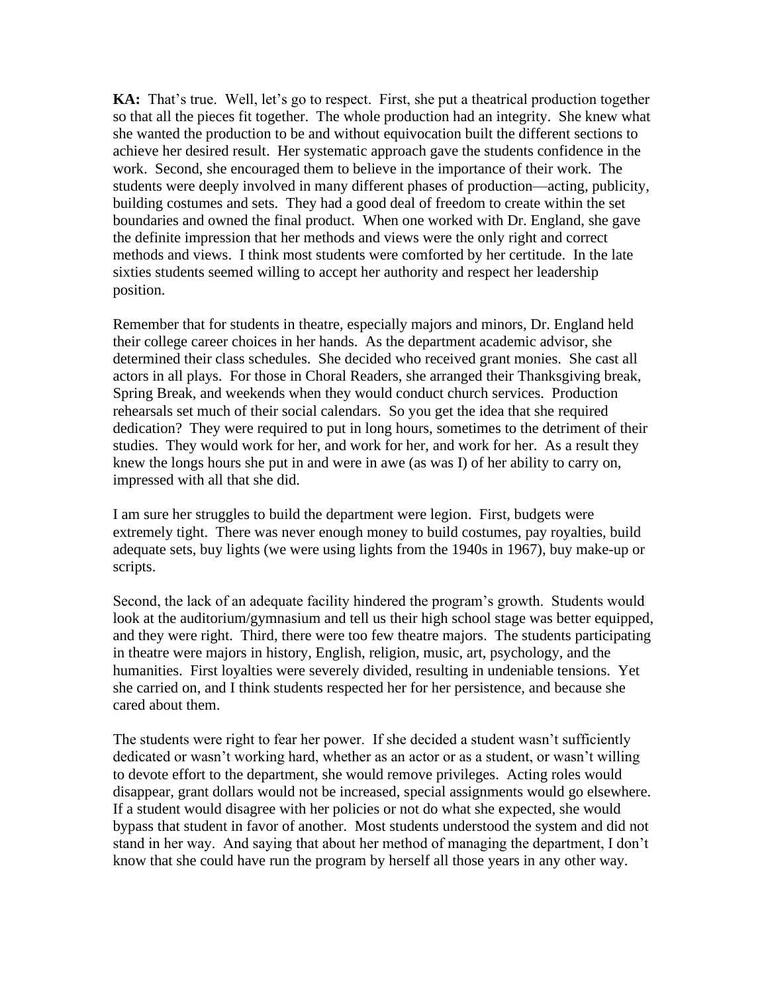**KA:** That's true. Well, let's go to respect. First, she put a theatrical production together so that all the pieces fit together. The whole production had an integrity. She knew what she wanted the production to be and without equivocation built the different sections to achieve her desired result. Her systematic approach gave the students confidence in the work. Second, she encouraged them to believe in the importance of their work. The students were deeply involved in many different phases of production—acting, publicity, building costumes and sets. They had a good deal of freedom to create within the set boundaries and owned the final product. When one worked with Dr. England, she gave the definite impression that her methods and views were the only right and correct methods and views. I think most students were comforted by her certitude. In the late sixties students seemed willing to accept her authority and respect her leadership position.

Remember that for students in theatre, especially majors and minors, Dr. England held their college career choices in her hands. As the department academic advisor, she determined their class schedules. She decided who received grant monies. She cast all actors in all plays. For those in Choral Readers, she arranged their Thanksgiving break, Spring Break, and weekends when they would conduct church services. Production rehearsals set much of their social calendars. So you get the idea that she required dedication? They were required to put in long hours, sometimes to the detriment of their studies. They would work for her, and work for her, and work for her. As a result they knew the longs hours she put in and were in awe (as was I) of her ability to carry on, impressed with all that she did.

I am sure her struggles to build the department were legion. First, budgets were extremely tight. There was never enough money to build costumes, pay royalties, build adequate sets, buy lights (we were using lights from the 1940s in 1967), buy make-up or scripts.

Second, the lack of an adequate facility hindered the program's growth. Students would look at the auditorium/gymnasium and tell us their high school stage was better equipped, and they were right. Third, there were too few theatre majors. The students participating in theatre were majors in history, English, religion, music, art, psychology, and the humanities. First loyalties were severely divided, resulting in undeniable tensions. Yet she carried on, and I think students respected her for her persistence, and because she cared about them.

The students were right to fear her power. If she decided a student wasn't sufficiently dedicated or wasn't working hard, whether as an actor or as a student, or wasn't willing to devote effort to the department, she would remove privileges. Acting roles would disappear, grant dollars would not be increased, special assignments would go elsewhere. If a student would disagree with her policies or not do what she expected, she would bypass that student in favor of another. Most students understood the system and did not stand in her way. And saying that about her method of managing the department, I don't know that she could have run the program by herself all those years in any other way.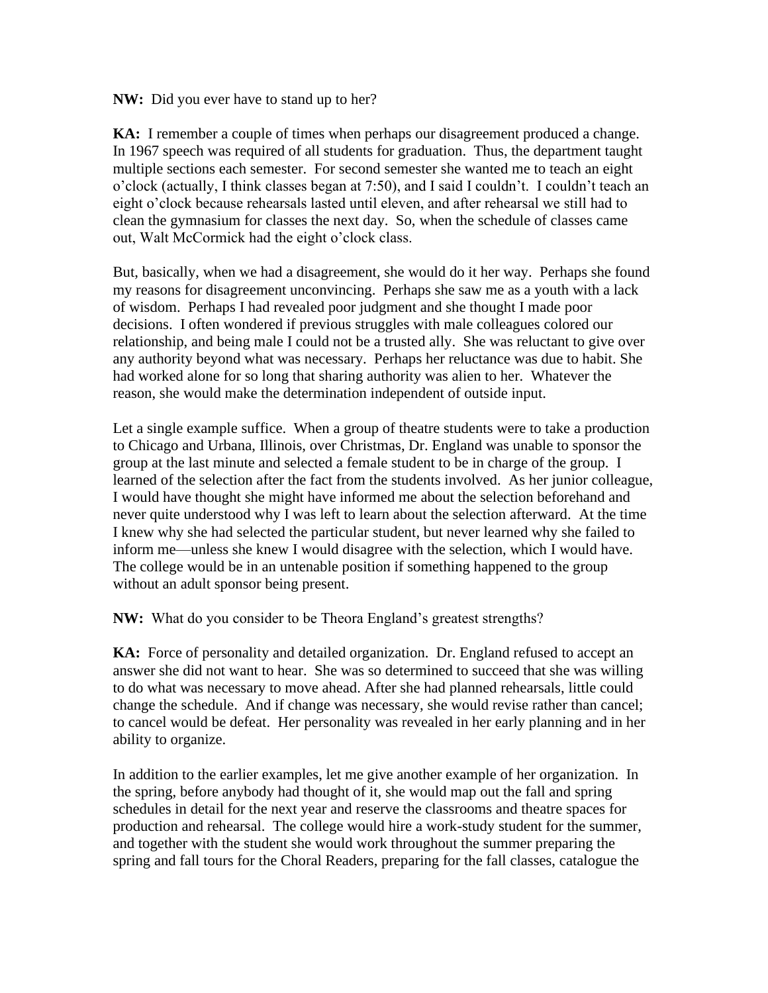**NW:** Did you ever have to stand up to her?

**KA:** I remember a couple of times when perhaps our disagreement produced a change. In 1967 speech was required of all students for graduation. Thus, the department taught multiple sections each semester. For second semester she wanted me to teach an eight o'clock (actually, I think classes began at 7:50), and I said I couldn't. I couldn't teach an eight o'clock because rehearsals lasted until eleven, and after rehearsal we still had to clean the gymnasium for classes the next day. So, when the schedule of classes came out, Walt McCormick had the eight o'clock class.

But, basically, when we had a disagreement, she would do it her way. Perhaps she found my reasons for disagreement unconvincing. Perhaps she saw me as a youth with a lack of wisdom. Perhaps I had revealed poor judgment and she thought I made poor decisions. I often wondered if previous struggles with male colleagues colored our relationship, and being male I could not be a trusted ally. She was reluctant to give over any authority beyond what was necessary. Perhaps her reluctance was due to habit. She had worked alone for so long that sharing authority was alien to her. Whatever the reason, she would make the determination independent of outside input.

Let a single example suffice. When a group of theatre students were to take a production to Chicago and Urbana, Illinois, over Christmas, Dr. England was unable to sponsor the group at the last minute and selected a female student to be in charge of the group. I learned of the selection after the fact from the students involved. As her junior colleague, I would have thought she might have informed me about the selection beforehand and never quite understood why I was left to learn about the selection afterward. At the time I knew why she had selected the particular student, but never learned why she failed to inform me—unless she knew I would disagree with the selection, which I would have. The college would be in an untenable position if something happened to the group without an adult sponsor being present.

**NW:** What do you consider to be Theora England's greatest strengths?

**KA:** Force of personality and detailed organization. Dr. England refused to accept an answer she did not want to hear. She was so determined to succeed that she was willing to do what was necessary to move ahead. After she had planned rehearsals, little could change the schedule. And if change was necessary, she would revise rather than cancel; to cancel would be defeat. Her personality was revealed in her early planning and in her ability to organize.

In addition to the earlier examples, let me give another example of her organization. In the spring, before anybody had thought of it, she would map out the fall and spring schedules in detail for the next year and reserve the classrooms and theatre spaces for production and rehearsal. The college would hire a work-study student for the summer, and together with the student she would work throughout the summer preparing the spring and fall tours for the Choral Readers, preparing for the fall classes, catalogue the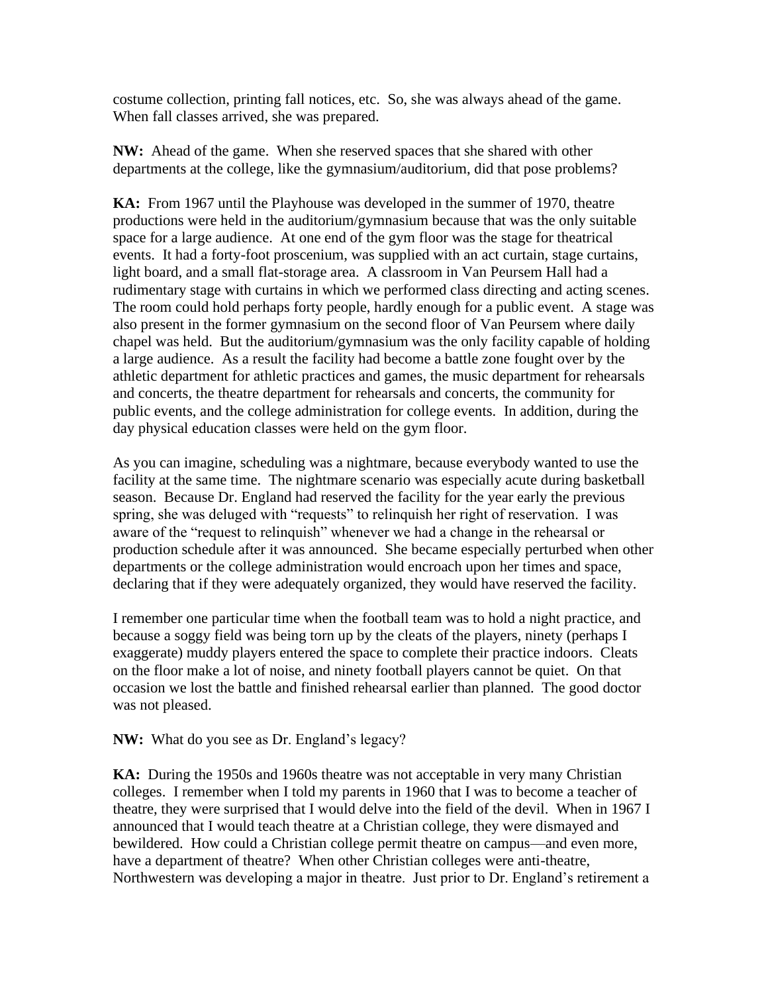costume collection, printing fall notices, etc. So, she was always ahead of the game. When fall classes arrived, she was prepared.

**NW:** Ahead of the game. When she reserved spaces that she shared with other departments at the college, like the gymnasium/auditorium, did that pose problems?

**KA:** From 1967 until the Playhouse was developed in the summer of 1970, theatre productions were held in the auditorium/gymnasium because that was the only suitable space for a large audience. At one end of the gym floor was the stage for theatrical events. It had a forty-foot proscenium, was supplied with an act curtain, stage curtains, light board, and a small flat-storage area. A classroom in Van Peursem Hall had a rudimentary stage with curtains in which we performed class directing and acting scenes. The room could hold perhaps forty people, hardly enough for a public event. A stage was also present in the former gymnasium on the second floor of Van Peursem where daily chapel was held. But the auditorium/gymnasium was the only facility capable of holding a large audience. As a result the facility had become a battle zone fought over by the athletic department for athletic practices and games, the music department for rehearsals and concerts, the theatre department for rehearsals and concerts, the community for public events, and the college administration for college events. In addition, during the day physical education classes were held on the gym floor.

As you can imagine, scheduling was a nightmare, because everybody wanted to use the facility at the same time. The nightmare scenario was especially acute during basketball season. Because Dr. England had reserved the facility for the year early the previous spring, she was deluged with "requests" to relinquish her right of reservation. I was aware of the "request to relinquish" whenever we had a change in the rehearsal or production schedule after it was announced. She became especially perturbed when other departments or the college administration would encroach upon her times and space, declaring that if they were adequately organized, they would have reserved the facility.

I remember one particular time when the football team was to hold a night practice, and because a soggy field was being torn up by the cleats of the players, ninety (perhaps I exaggerate) muddy players entered the space to complete their practice indoors. Cleats on the floor make a lot of noise, and ninety football players cannot be quiet. On that occasion we lost the battle and finished rehearsal earlier than planned. The good doctor was not pleased.

**NW:** What do you see as Dr. England's legacy?

**KA:** During the 1950s and 1960s theatre was not acceptable in very many Christian colleges. I remember when I told my parents in 1960 that I was to become a teacher of theatre, they were surprised that I would delve into the field of the devil. When in 1967 I announced that I would teach theatre at a Christian college, they were dismayed and bewildered. How could a Christian college permit theatre on campus—and even more, have a department of theatre? When other Christian colleges were anti-theatre, Northwestern was developing a major in theatre. Just prior to Dr. England's retirement a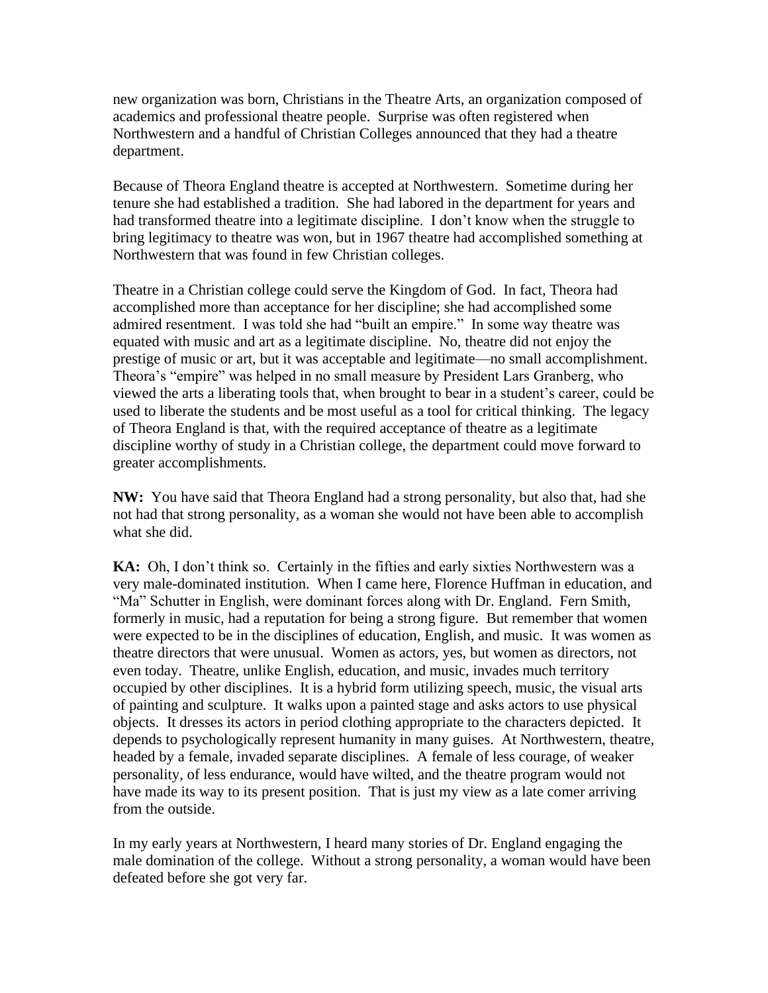new organization was born, Christians in the Theatre Arts, an organization composed of academics and professional theatre people. Surprise was often registered when Northwestern and a handful of Christian Colleges announced that they had a theatre department.

Because of Theora England theatre is accepted at Northwestern. Sometime during her tenure she had established a tradition. She had labored in the department for years and had transformed theatre into a legitimate discipline. I don't know when the struggle to bring legitimacy to theatre was won, but in 1967 theatre had accomplished something at Northwestern that was found in few Christian colleges.

Theatre in a Christian college could serve the Kingdom of God. In fact, Theora had accomplished more than acceptance for her discipline; she had accomplished some admired resentment. I was told she had "built an empire." In some way theatre was equated with music and art as a legitimate discipline. No, theatre did not enjoy the prestige of music or art, but it was acceptable and legitimate—no small accomplishment. Theora's "empire" was helped in no small measure by President Lars Granberg, who viewed the arts a liberating tools that, when brought to bear in a student's career, could be used to liberate the students and be most useful as a tool for critical thinking. The legacy of Theora England is that, with the required acceptance of theatre as a legitimate discipline worthy of study in a Christian college, the department could move forward to greater accomplishments.

**NW:** You have said that Theora England had a strong personality, but also that, had she not had that strong personality, as a woman she would not have been able to accomplish what she did.

**KA:** Oh, I don't think so. Certainly in the fifties and early sixties Northwestern was a very male-dominated institution. When I came here, Florence Huffman in education, and "Ma" Schutter in English, were dominant forces along with Dr. England. Fern Smith, formerly in music, had a reputation for being a strong figure. But remember that women were expected to be in the disciplines of education, English, and music. It was women as theatre directors that were unusual. Women as actors, yes, but women as directors, not even today. Theatre, unlike English, education, and music, invades much territory occupied by other disciplines. It is a hybrid form utilizing speech, music, the visual arts of painting and sculpture. It walks upon a painted stage and asks actors to use physical objects. It dresses its actors in period clothing appropriate to the characters depicted. It depends to psychologically represent humanity in many guises. At Northwestern, theatre, headed by a female, invaded separate disciplines. A female of less courage, of weaker personality, of less endurance, would have wilted, and the theatre program would not have made its way to its present position. That is just my view as a late comer arriving from the outside.

In my early years at Northwestern, I heard many stories of Dr. England engaging the male domination of the college. Without a strong personality, a woman would have been defeated before she got very far.